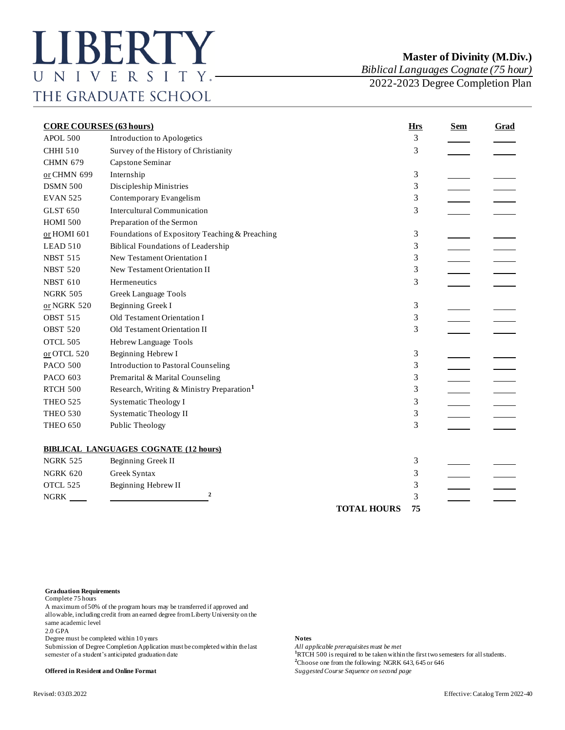## **Master of Divinity (M.Div.)**

*Biblical Languages Cognate (75 hour)*

2022-2023 Degree Completion Plan

| <b>CORE COURSES (63 hours)</b> |                                                       | <b>Hrs</b>         | <b>Sem</b> | Grad |  |
|--------------------------------|-------------------------------------------------------|--------------------|------------|------|--|
| APOL 500                       | Introduction to Apologetics                           |                    | 3          |      |  |
| <b>CHHI 510</b>                | Survey of the History of Christianity                 |                    | 3          |      |  |
| <b>CHMN 679</b>                | Capstone Seminar                                      |                    |            |      |  |
| or CHMN 699                    | Internship                                            |                    | 3          |      |  |
| <b>DSMN 500</b>                | Discipleship Ministries                               |                    | 3          |      |  |
| <b>EVAN 525</b>                | Contemporary Evangelism                               |                    | 3          |      |  |
| <b>GLST 650</b>                | <b>Intercultural Communication</b>                    |                    | 3          |      |  |
| <b>HOMI 500</b>                | Preparation of the Sermon                             |                    |            |      |  |
| or HOMI 601                    | Foundations of Expository Teaching & Preaching        |                    | 3          |      |  |
| LEAD 510                       | <b>Biblical Foundations of Leadership</b>             |                    | 3          |      |  |
| <b>NBST 515</b>                | New Testament Orientation I                           |                    | 3          |      |  |
| <b>NBST 520</b>                | New Testament Orientation II                          |                    | 3          |      |  |
| <b>NBST 610</b>                | Hermeneutics                                          |                    | 3          |      |  |
| <b>NGRK 505</b>                | Greek Language Tools                                  |                    |            |      |  |
| or NGRK 520                    | Beginning Greek I                                     |                    | 3          |      |  |
| <b>OBST 515</b>                | Old Testament Orientation I                           |                    | 3          |      |  |
| <b>OBST 520</b>                | Old Testament Orientation II                          |                    | 3          |      |  |
| OTCL 505                       | Hebrew Language Tools                                 |                    |            |      |  |
| $or$ OTCL 520                  | Beginning Hebrew I                                    |                    | 3          |      |  |
| <b>PACO 500</b>                | <b>Introduction to Pastoral Counseling</b>            |                    | 3          |      |  |
| PACO 603                       | Premarital & Marital Counseling                       |                    | 3          |      |  |
| <b>RTCH 500</b>                | Research, Writing & Ministry Preparation <sup>1</sup> |                    | 3          |      |  |
| <b>THEO 525</b>                | Systematic Theology I                                 |                    | 3          |      |  |
| <b>THEO 530</b>                | <b>Systematic Theology II</b>                         |                    | 3          |      |  |
| <b>THEO 650</b>                | Public Theology                                       |                    | 3          |      |  |
|                                | <b>BIBLICAL LANGUAGES COGNATE (12 hours)</b>          |                    |            |      |  |
| <b>NGRK 525</b>                | Beginning Greek II                                    |                    | 3          |      |  |
| <b>NGRK 620</b>                | Greek Syntax                                          |                    | 3          |      |  |
| OTCL 525                       | Beginning Hebrew II                                   |                    | 3          |      |  |
| <b>NGRK</b>                    | $\boldsymbol{2}$                                      |                    | 3          |      |  |
|                                |                                                       | <b>TOTAL HOURS</b> | 75         |      |  |

## **Graduation Requirements**

Complete 75 hours

A maximum of 50% of the program hours may be transferred if approved and allowable, including credit from an earned degree from Liberty University on the same academic level

2.0 GPA

Degree must be completed within 10 years **Notes**

Submission of Degree Completion Application must be completed within the last *All applicable prerequisites must be met*<br><sup>1</sup>RTCH 500 is required to be taken within

**Offered in Resident and Online Format** *Suggested Course Sequence on second page*

<sup>1</sup>RTCH 500 is required to be taken within the first two semesters for all students. **<sup>2</sup>**Choose one from the following: NGRK 643, 645 or 646